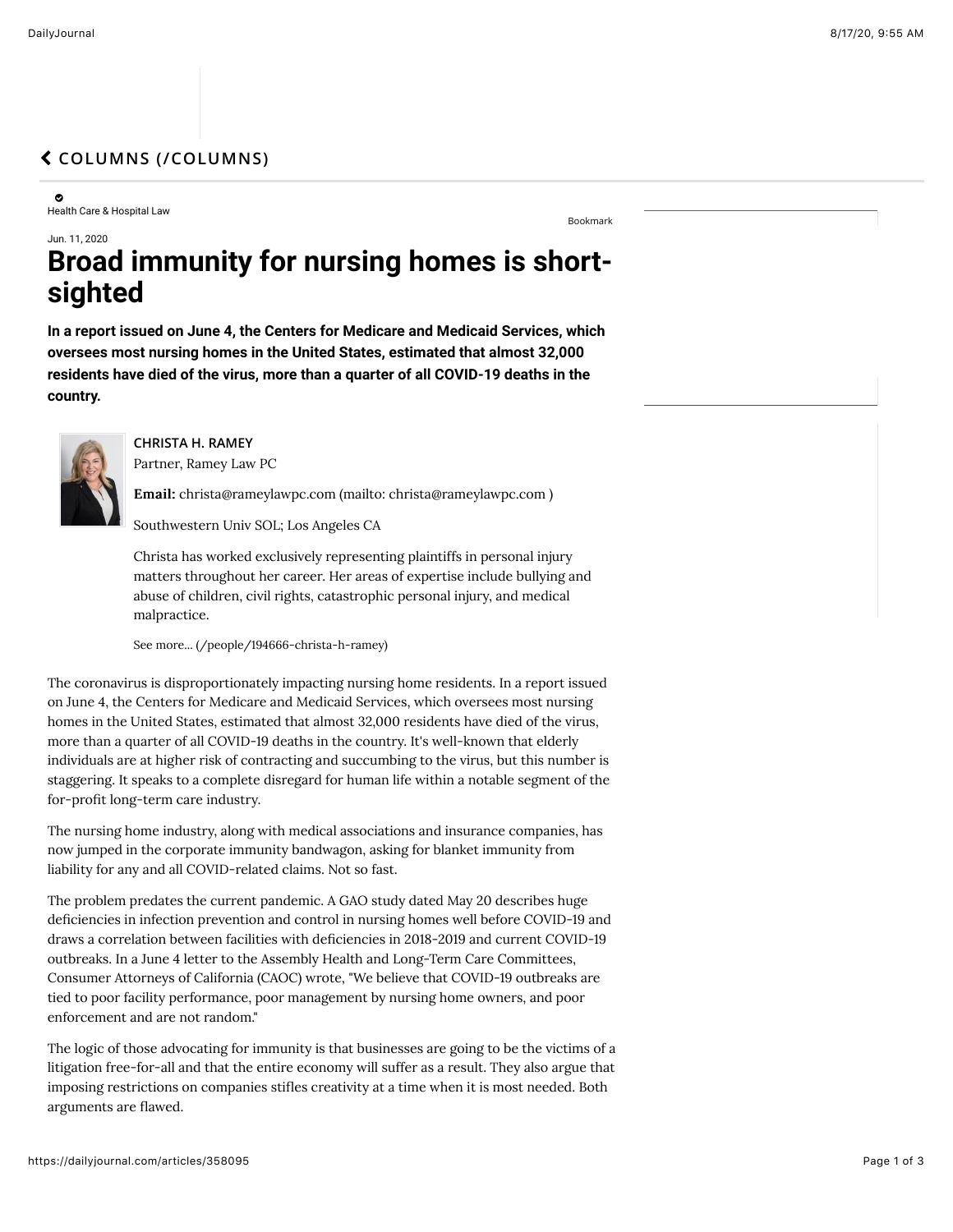## " **[COLUMNS \(/COLUMNS\)](https://dailyjournal.com/columns)**

0 Health Care & Hospital Law

[Bookmark](https://dailyjournal.com/articles/358095%23)

## Jun. 11, 2020 **Broad immunity for nursing homes is shortsighted**

**In a report issued on June 4, the Centers for Medicare and Medicaid Services, which oversees most nursing homes in the United States, estimated that almost 32,000 residents have died of the virus, more than a quarter of all COVID-19 deaths in the country.**



**CHRISTA H. RAMEY** Partner, Ramey Law PC

Email: [christa@rameylawpc.com \(mailto: christa@rameylawpc.com \)](mailto:%20christa@rameylawpc.com)

Southwestern Univ SOL; Los Angeles CA

Christa has worked exclusively representing plaintiffs in personal injury matters throughout her career. Her areas of expertise include bullying and abuse of children, civil rights, catastrophic personal injury, and medical malpractice.

[See more... \(/people/194666-christa-h-ramey\)](https://dailyjournal.com/people/194666-christa-h-ramey)

The coronavirus is disproportionately impacting nursing home residents. In a report issued on June 4, the Centers for Medicare and Medicaid Services, which oversees most nursing homes in the United States, estimated that almost 32,000 residents have died of the virus, more than a quarter of all COVID-19 deaths in the country. It's well-known that elderly individuals are at higher risk of contracting and succumbing to the virus, but this number is staggering. It speaks to a complete disregard for human life within a notable segment of the for-profit long-term care industry.

The nursing home industry, along with medical associations and insurance companies, has now jumped in the corporate immunity bandwagon, asking for blanket immunity from liability for any and all COVID-related claims. Not so fast.

The problem predates the current pandemic. A GAO study dated May 20 describes huge deficiencies in infection prevention and control in nursing homes well before COVID-19 and draws a correlation between facilities with deficiencies in 2018-2019 and current COVID-19 outbreaks. In a June 4 letter to the Assembly Health and Long-Term Care Committees, Consumer Attorneys of California (CAOC) wrote, "We believe that COVID-19 outbreaks are tied to poor facility performance, poor management by nursing home owners, and poor enforcement and are not random."

The logic of those advocating for immunity is that businesses are going to be the victims of a litigation free-for-all and that the entire economy will suffer as a result. They also argue that imposing restrictions on companies stifles creativity at a time when it is most needed. Both arguments are flawed.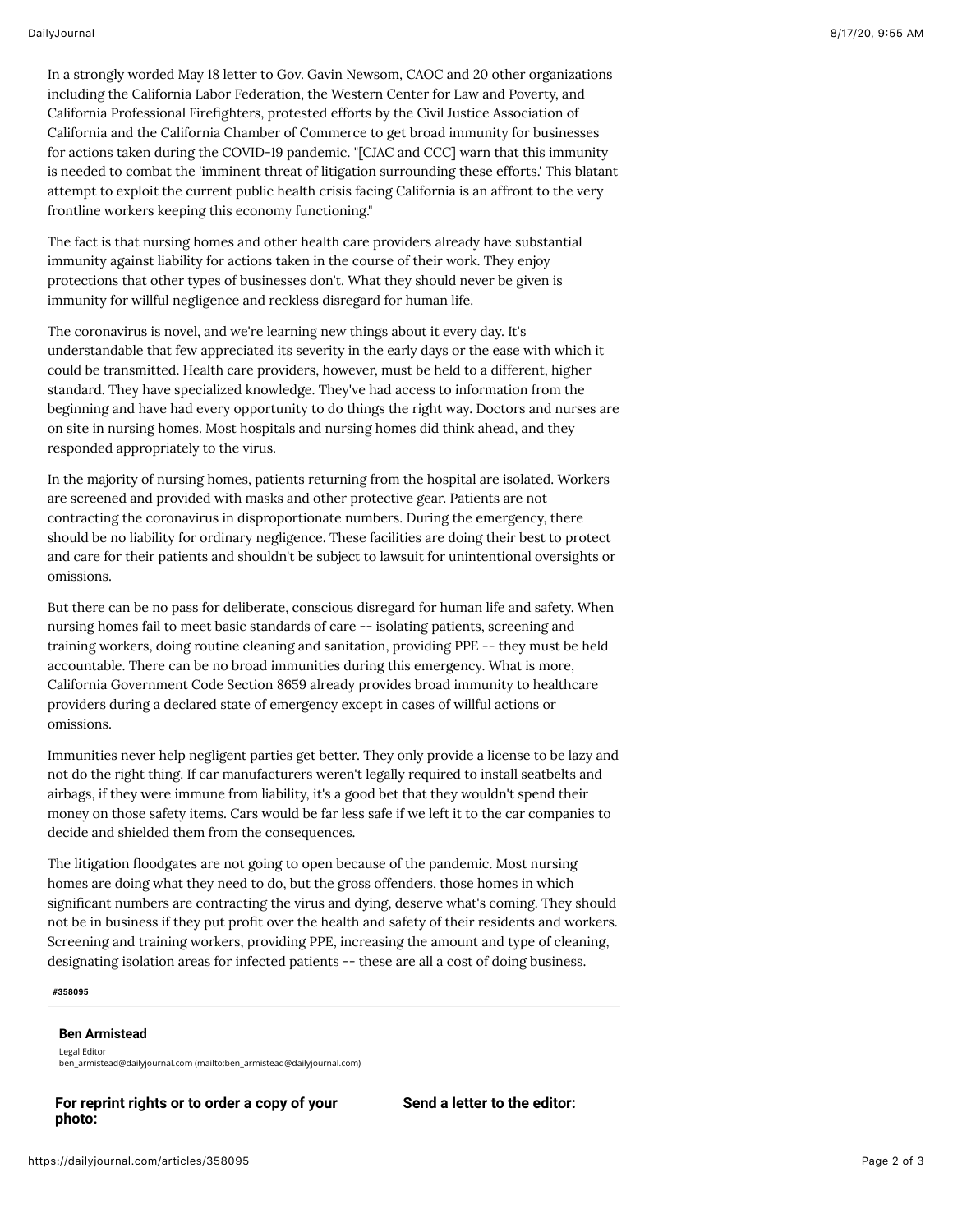In a strongly worded May 18 letter to Gov. Gavin Newsom, CAOC and 20 other organizations including the California Labor Federation, the Western Center for Law and Poverty, and California Professional Firefighters, protested efforts by the Civil Justice Association of California and the California Chamber of Commerce to get broad immunity for businesses for actions taken during the COVID-19 pandemic. "[CJAC and CCC] warn that this immunity is needed to combat the 'imminent threat of litigation surrounding these efforts.' This blatant attempt to exploit the current public health crisis facing California is an affront to the very frontline workers keeping this economy functioning."

The fact is that nursing homes and other health care providers already have substantial immunity against liability for actions taken in the course of their work. They enjoy protections that other types of businesses don't. What they should never be given is immunity for willful negligence and reckless disregard for human life.

The coronavirus is novel, and we're learning new things about it every day. It's understandable that few appreciated its severity in the early days or the ease with which it could be transmitted. Health care providers, however, must be held to a different, higher standard. They have specialized knowledge. They've had access to information from the beginning and have had every opportunity to do things the right way. Doctors and nurses are on site in nursing homes. Most hospitals and nursing homes did think ahead, and they responded appropriately to the virus.

In the majority of nursing homes, patients returning from the hospital are isolated. Workers are screened and provided with masks and other protective gear. Patients are not contracting the coronavirus in disproportionate numbers. During the emergency, there should be no liability for ordinary negligence. These facilities are doing their best to protect and care for their patients and shouldn't be subject to lawsuit for unintentional oversights or omissions.

But there can be no pass for deliberate, conscious disregard for human life and safety. When nursing homes fail to meet basic standards of care -- isolating patients, screening and training workers, doing routine cleaning and sanitation, providing PPE -- they must be held accountable. There can be no broad immunities during this emergency. What is more, California Government Code Section 8659 already provides broad immunity to healthcare providers during a declared state of emergency except in cases of willful actions or omissions.

Immunities never help negligent parties get better. They only provide a license to be lazy and not do the right thing. If car manufacturers weren't legally required to install seatbelts and airbags, if they were immune from liability, it's a good bet that they wouldn't spend their money on those safety items. Cars would be far less safe if we left it to the car companies to decide and shielded them from the consequences.

The litigation floodgates are not going to open because of the pandemic. Most nursing homes are doing what they need to do, but the gross offenders, those homes in which significant numbers are contracting the virus and dying, deserve what's coming. They should not be in business if they put profit over the health and safety of their residents and workers. Screening and training workers, providing PPE, increasing the amount and type of cleaning, designating isolation areas for infected patients -- these are all a cost of doing business.

**#358095**

## **Ben Armistead**

Legal Editor [ben\\_armistead@dailyjournal.com \(mailto:ben\\_armistead@dailyjournal.com\)](mailto:ben_armistead@dailyjournal.com)

**For reprint rights or to order a copy of your photo:**

**Send a letter to the editor:**